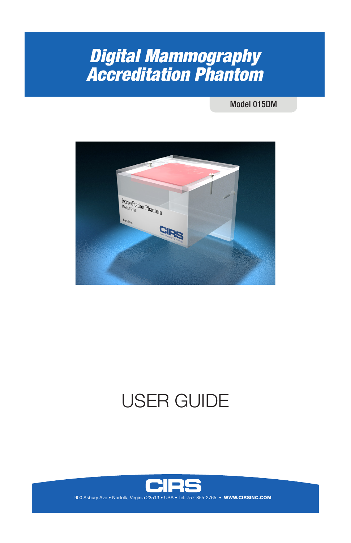## *Digital Mammography Accreditation Phantom*

Model 015DM



# USER GUIDE



**WWW.CIRSINC.COM**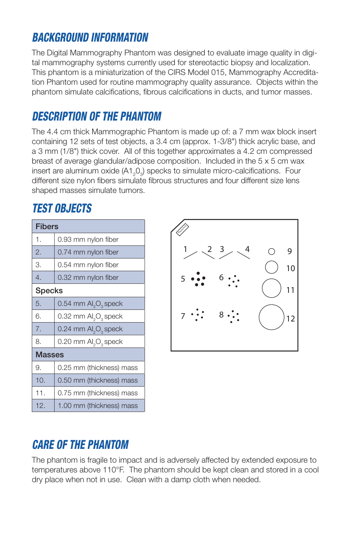## *BACKGROUND INFORMATION*

The Digital Mammography Phantom was designed to evaluate image quality in digital mammography systems currently used for stereotactic biopsy and localization. This phantom is a miniaturization of the CIRS Model 015, Mammography Accreditation Phantom used for routine mammography quality assurance. Objects within the phantom simulate calcifications, fibrous calcifications in ducts, and tumor masses.

## *DESCRIPTION OF THE PHANTOM*

The 4.4 cm thick Mammographic Phantom is made up of: a 7 mm wax block insert containing 12 sets of test objects, a 3.4 cm (approx. 1-3/8") thick acrylic base, and a 3 mm (1/8") thick cover. All of this together approximates a 4.2 cm compressed breast of average glandular/adipose composition. Included in the 5 x 5 cm wax insert are aluminum oxide (A1<sub>2</sub>O<sub>3</sub>) specks to simulate micro-calcifications. Four different size nylon fibers simulate fibrous structures and four different size lens shaped masses simulate tumors.

### **TEST OBJECTS**

| <b>Fibers</b>    |                                              |  |
|------------------|----------------------------------------------|--|
| 1.               | 0.93 mm nylon fiber                          |  |
| 2.               | 0.74 mm nylon fiber                          |  |
| 3.               | 0.54 mm nylon fiber                          |  |
| $\overline{4}$ . | 0.32 mm nylon fiber                          |  |
| <b>Specks</b>    |                                              |  |
| 5.               | 0.54 mm $\mathsf{Al}_2\mathsf{O}_3$ speck    |  |
| 6.               | 0.32 mm Al <sub>2</sub> O <sub>3</sub> speck |  |
| 7.               | 0.24 mm $\mathsf{Al}_2\mathsf{O}_3$ speck    |  |
| 8.               | 0.20 mm Al <sub>2</sub> O <sub>3</sub> speck |  |
| <b>Masses</b>    |                                              |  |
| 9.               | 0.25 mm (thickness) mass                     |  |
| 10.              | 0.50 mm (thickness) mass                     |  |
| 11.              | 0.75 mm (thickness) mass                     |  |
| 12.              | 1.00 mm (thickness) mass                     |  |



## *CARE OF THE PHANTOM*

The phantom is fragile to impact and is adversely affected by extended exposure to temperatures above 110°F. The phantom should be kept clean and stored in a cool dry place when not in use. Clean with a damp cloth when needed.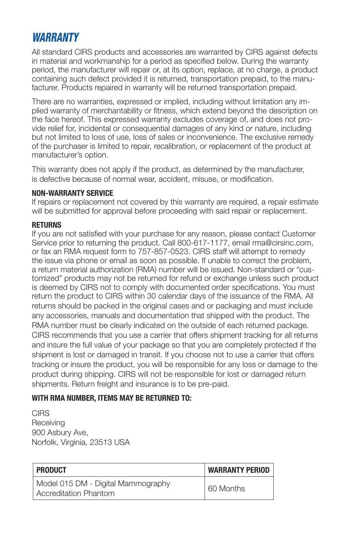#### *WARRANTY*

All standard CIRS products and accessories are warranted by CIRS against defects in material and workmanship for a period as specified below. During the warranty period, the manufacturer will repair or, at its option, replace, at no charge, a product containing such defect provided it is returned, transportation prepaid, to the manufacturer. Products repaired in warranty will be returned transportation prepaid.

There are no warranties, expressed or implied, including without limitation any implied warranty of merchantability or fitness, which extend beyond the description on the face hereof. This expressed warranty excludes coverage of, and does not provide relief for, incidental or consequential damages of any kind or nature, including but not limited to loss of use, loss of sales or inconvenience. The exclusive remedy of the purchaser is limited to repair, recalibration, or replacement of the product at manufacturer's option.

This warranty does not apply if the product, as determined by the manufacturer, is defective because of normal wear, accident, misuse, or modification.

#### **NON-WARRANTY SERVICE**

If repairs or replacement not covered by this warranty are required, a repair estimate will be submitted for approval before proceeding with said repair or replacement.

#### **RETURNS**

If you are not satisfied with your purchase for any reason, please contact Customer Service prior to returning the product. Call 800-617-1177, email rma@cirsinc.com, or fax an RMA request form to 757-857-0523. CIRS staff will attempt to remedy the issue via phone or email as soon as possible. If unable to correct the problem, a return material authorization (RMA) number will be issued. Non-standard or "customized" products may not be returned for refund or exchange unless such product is deemed by CIRS not to comply with documented order specifications. You must return the product to CIRS within 30 calendar days of the issuance of the RMA. All returns should be packed in the original cases and or packaging and must include any accessories, manuals and documentation that shipped with the product. The RMA number must be clearly indicated on the outside of each returned package. CIRS recommends that you use a carrier that offers shipment tracking for all returns and insure the full value of your package so that you are completely protected if the shipment is lost or damaged in transit. If you choose not to use a carrier that offers tracking or insure the product, you will be responsible for any loss or damage to the product during shipping. CIRS will not be responsible for lost or damaged return shipments. Return freight and insurance is to be pre-paid.

#### **WITH RMA NUMBER, ITEMS MAY BE RETURNED TO:**

CIRS **Receiving** 900 Asbury Ave, Norfolk, Virginia, 23513 USA

| PRODUCT                                                            | <b>WARRANTY PERIOD</b> |
|--------------------------------------------------------------------|------------------------|
| Model 015 DM - Digital Mammography<br><b>Accreditation Phantom</b> | 60 Months              |